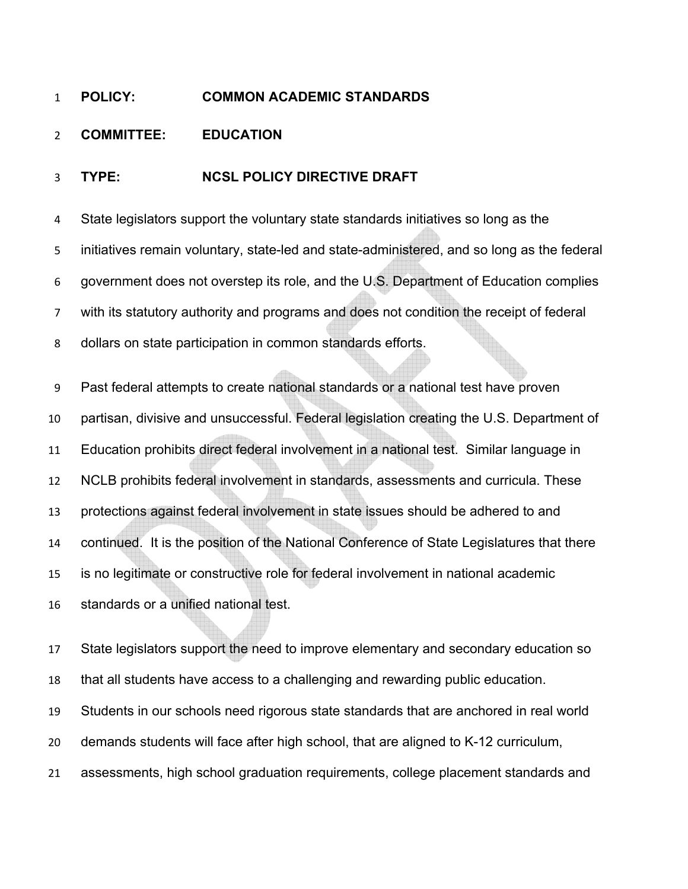## **POLICY: COMMON ACADEMIC STANDARDS**

## **COMMITTEE: EDUCATION**

## **TYPE: NCSL POLICY DIRECTIVE DRAFT**

State legislators support the voluntary state standards initiatives so long as the initiatives remain voluntary, state-led and state-administered, and so long as the federal government does not overstep its role, and the U.S. Department of Education complies with its statutory authority and programs and does not condition the receipt of federal dollars on state participation in common standards efforts.

Past federal attempts to create national standards or a national test have proven partisan, divisive and unsuccessful. Federal legislation creating the U.S. Department of Education prohibits direct federal involvement in a national test. Similar language in NCLB prohibits federal involvement in standards, assessments and curricula. These protections against federal involvement in state issues should be adhered to and continued. It is the position of the National Conference of State Legislatures that there is no legitimate or constructive role for federal involvement in national academic standards or a unified national test.

State legislators support the need to improve elementary and secondary education so that all students have access to a challenging and rewarding public education. Students in our schools need rigorous state standards that are anchored in real world demands students will face after high school, that are aligned to K-12 curriculum, assessments, high school graduation requirements, college placement standards and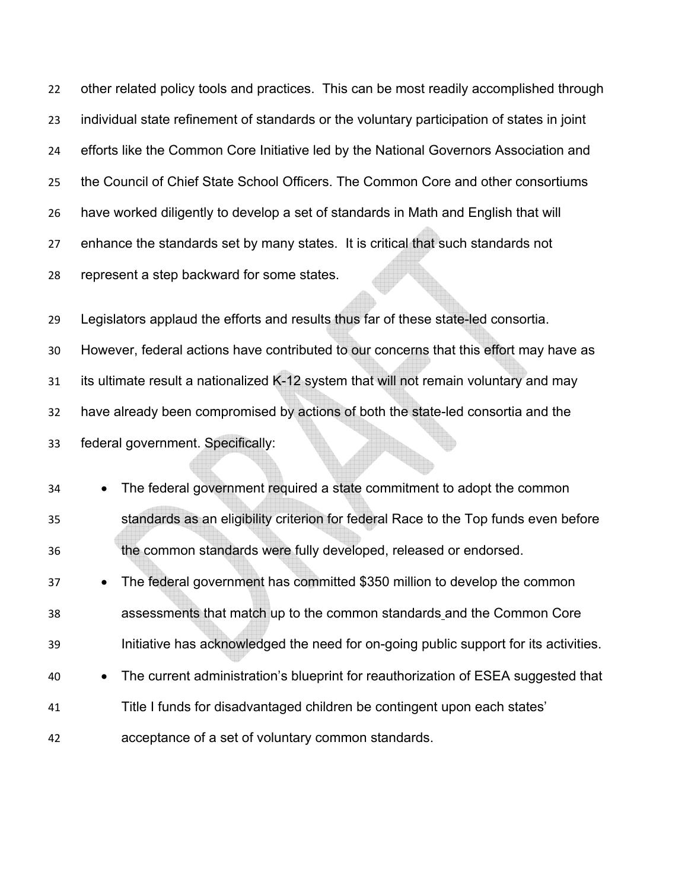other related policy tools and practices. This can be most readily accomplished through individual state refinement of standards or the voluntary participation of states in joint efforts like the Common Core Initiative led by the National Governors Association and the Council of Chief State School Officers. The Common Core and other consortiums have worked diligently to develop a set of standards in Math and English that will enhance the standards set by many states. It is critical that such standards not represent a step backward for some states.

Legislators applaud the efforts and results thus far of these state-led consortia. However, federal actions have contributed to our concerns that this effort may have as 31 its ultimate result a nationalized K-12 system that will not remain voluntary and may have already been compromised by actions of both the state-led consortia and the federal government. Specifically:

• The federal government required a state commitment to adopt the common standards as an eligibility criterion for federal Race to the Top funds even before the common standards were fully developed, released or endorsed. • The federal government has committed \$350 million to develop the common assessments that match up to the common standards and the Common Core Initiative has acknowledged the need for on-going public support for its activities. • The current administration's blueprint for reauthorization of ESEA suggested that Title I funds for disadvantaged children be contingent upon each states' acceptance of a set of voluntary common standards.